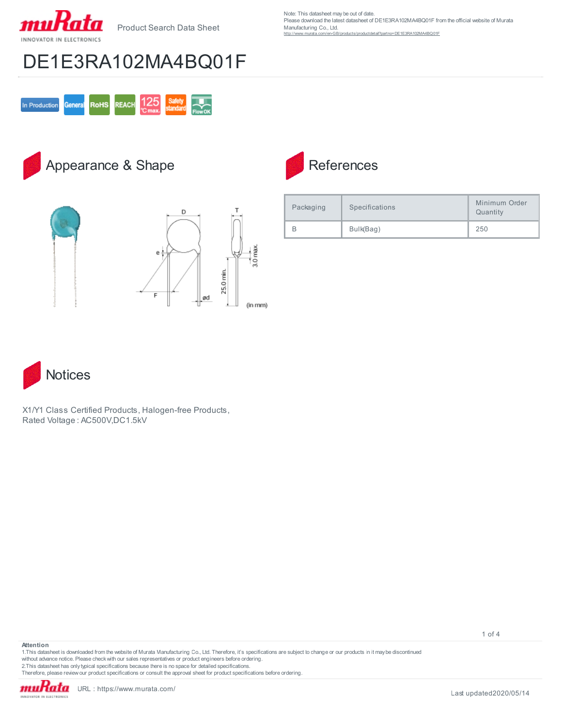

Note: This datasheet may be out of date. Please download the latest datasheet of DE1E3RA102MA4BQ01F from the official website of Murata Manufacturing Co., Ltd. detail?partno=DE1E3RA102MA4BQ01F

# DE1E3RA102MA4BQ01F



#### Appearance & Shape



| <b>References</b> |
|-------------------|
|                   |

| Packaging | Specifications | Minimum Order<br>Quantity |
|-----------|----------------|---------------------------|
|           | Bulk(Bag)      | 250                       |



X1/Y1 Class Certified Products, Halogen-free Products, Rated Voltage : AC500V,DC1.5kV

1 of 4

1.This datasheet is downloaded from the website of Murata Manufacturing Co., Ltd. Therefore, it's specifications are subject to change or our products in it may be discontinued without advance notice. Please check with our sales representatives or product engineers before ordering. 2.This datasheet has only typical specifications because there is no space for detailed specifications.

Therefore, please review our product specifications or consult the approval sheet for product specifications before ordering.

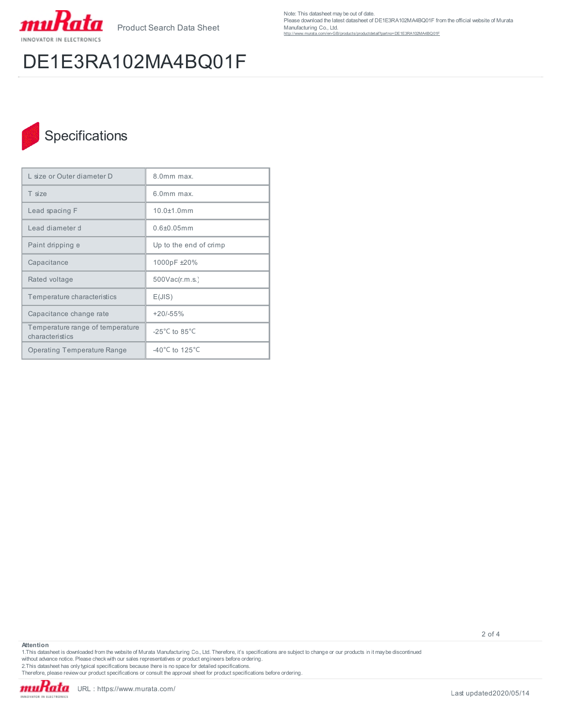

# DE1E3RA102MA4BQ01F

Note: This datasheet may be out of date. Please download the latest datasheet of DE1E3RA102MA4BQ01F from the official website of Murata Manufacturing Co., Ltd. httetail?partno=DE1E3RA102MA4BQ01F

### Specifications

| L size or Outer diameter D                          | 8.0mm max.                           |  |
|-----------------------------------------------------|--------------------------------------|--|
| T size                                              | 6.0mm max.                           |  |
| Lead spacing F                                      | 10 0+1 0mm                           |  |
| Lead diameter d                                     | $0.6 + 0.05$ mm                      |  |
| Paint dripping e                                    | Up to the end of crimp               |  |
| Capacitance                                         | 1000pF ±20%                          |  |
| Rated voltage                                       | 500Vac(r.m.s.)                       |  |
| Temperature characteristics                         | E(JIS)                               |  |
| Capacitance change rate                             | $+20/-55%$                           |  |
| Temperature range of temperature<br>characteristics | -25 $^{\circ}$ C to 85 $^{\circ}$ C  |  |
| <b>Operating Temperature Range</b>                  | -40 $^{\circ}$ C to 125 $^{\circ}$ C |  |

2 of 4

1.This datasheet is downloaded from the website of Murata Manufacturing Co., Ltd. Therefore, it's specifications are subject to change or our products in it may be discontinued without advance notice. Please check with our sales representatives or product engineers before ordering.<br>2.This datasheet has only typical specifications because there is no space for detailed specifications.<br>Therefore, p

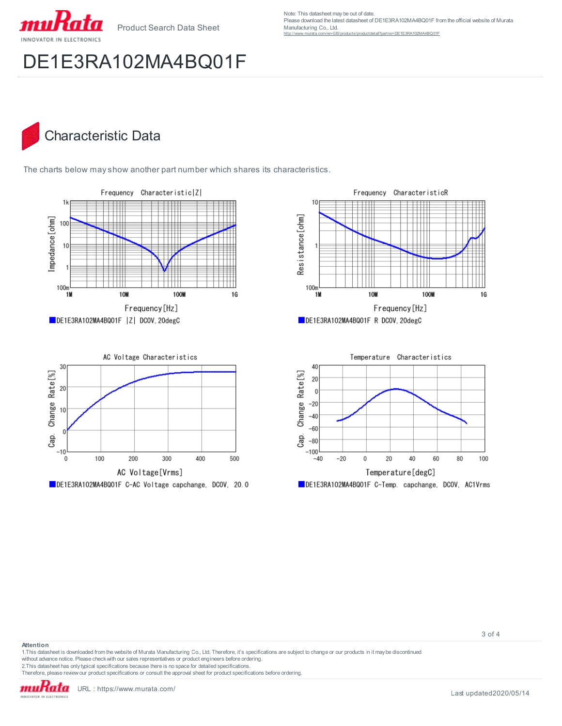

Note: This datasheet may be out of date. Please download the latest datasheet of DE1E3RA102MA4BQ01F from the official website of Murata Manufacturing Co., Ltd. =DE1E3RA102MA4BQ01F

# DE1E3RA102MA4BQ01F

#### Characteristic Data

The charts below may show another part number which shares its characteristics.









3 of 4

1.This datasheet is downloaded from the website of Murata Manufacturing Co., Ltd. Therefore, it's specifications are subject to change or our products in it may be discontinued without advance notice. Please check with our sales representatives or product engineers before ordering.

2.This datasheet has only typical specifications because there is no space for detailed specifications.

Therefore, please review our product specifications or consult the approval sheet for product specifications before ordering.